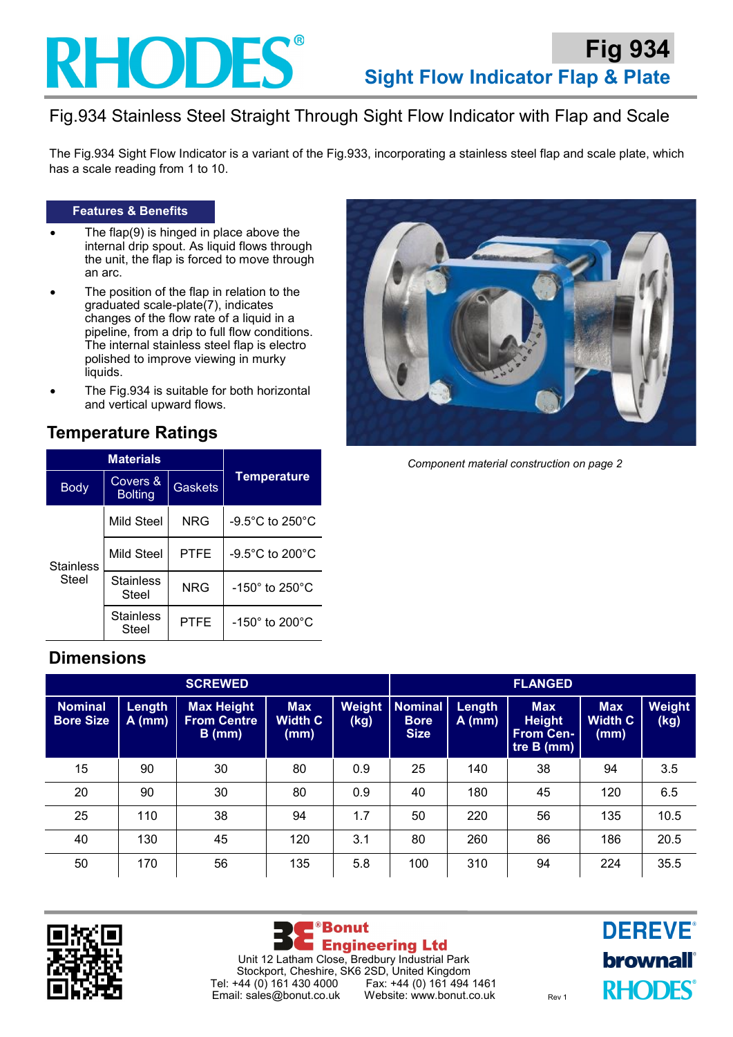

## Fig.934 Stainless Steel Straight Through Sight Flow Indicator with Flap and Scale

The Fig.934 Sight Flow Indicator is a variant of the Fig.933, incorporating a stainless steel flap and scale plate, which has a scale reading from 1 to 10.

#### **Features & Benefits**

- The flap $(9)$  is hinged in place above the internal drip spout. As liquid flows through the unit, the flap is forced to move through an arc.
- The position of the flap in relation to the graduated scale-plate(7), indicates changes of the flow rate of a liquid in a pipeline, from a drip to full flow conditions. The internal stainless steel flap is electro polished to improve viewing in murky liquids.
- The Fig.934 is suitable for both horizontal and vertical upward flows.

### **Temperature Ratings**

|                           | <b>Materials</b>           |                |                                      |  |  |
|---------------------------|----------------------------|----------------|--------------------------------------|--|--|
| <b>Body</b>               | Covers &<br><b>Bolting</b> | <b>Gaskets</b> | <b>Temperature</b>                   |  |  |
| <b>Stainless</b><br>Steel | Mild Steel                 | <b>NRG</b>     | $-9.5^{\circ}$ C to 250 $^{\circ}$ C |  |  |
|                           | Mild Steel                 | <b>PTFE</b>    | $-9.5^{\circ}$ C to 200 $^{\circ}$ C |  |  |
|                           | <b>Stainless</b><br>Steel  | <b>NRG</b>     | -150° to 250°C                       |  |  |
|                           | <b>Stainless</b><br>Steel  | PTFE           | $-150^\circ$ to 200 $^\circ$ C       |  |  |



*Component material construction on page 2*

## **Dimensions**

| <b>SCREWED</b>                     |                    |                                                  |                                      | <b>FLANGED</b> |                                              |                    |                                                                 |                                      |                |
|------------------------------------|--------------------|--------------------------------------------------|--------------------------------------|----------------|----------------------------------------------|--------------------|-----------------------------------------------------------------|--------------------------------------|----------------|
| <b>Nominal</b><br><b>Bore Size</b> | Length<br>$A$ (mm) | <b>Max Height</b><br><b>From Centre</b><br>B(mm) | <b>Max</b><br><b>Width C</b><br>(mm) | Weight<br>(kg) | <b>Nominal</b><br><b>Bore</b><br><b>Size</b> | Length<br>$A$ (mm) | <b>Max</b><br><b>Height</b><br><b>From Cen-</b><br>tre B $(mm)$ | <b>Max</b><br><b>Width C</b><br>(mm) | Weight<br>(kg) |
| 15                                 | 90                 | 30                                               | 80                                   | 0.9            | 25                                           | 140                | 38                                                              | 94                                   | 3.5            |
| 20                                 | 90                 | 30                                               | 80                                   | 0.9            | 40                                           | 180                | 45                                                              | 120                                  | 6.5            |
| 25                                 | 110                | 38                                               | 94                                   | 1.7            | 50                                           | 220                | 56                                                              | 135                                  | 10.5           |
| 40                                 | 130                | 45                                               | 120                                  | 3.1            | 80                                           | 260                | 86                                                              | 186                                  | 20.5           |
| 50                                 | 170                | 56                                               | 135                                  | 5.8            | 100                                          | 310                | 94                                                              | 224                                  | 35.5           |